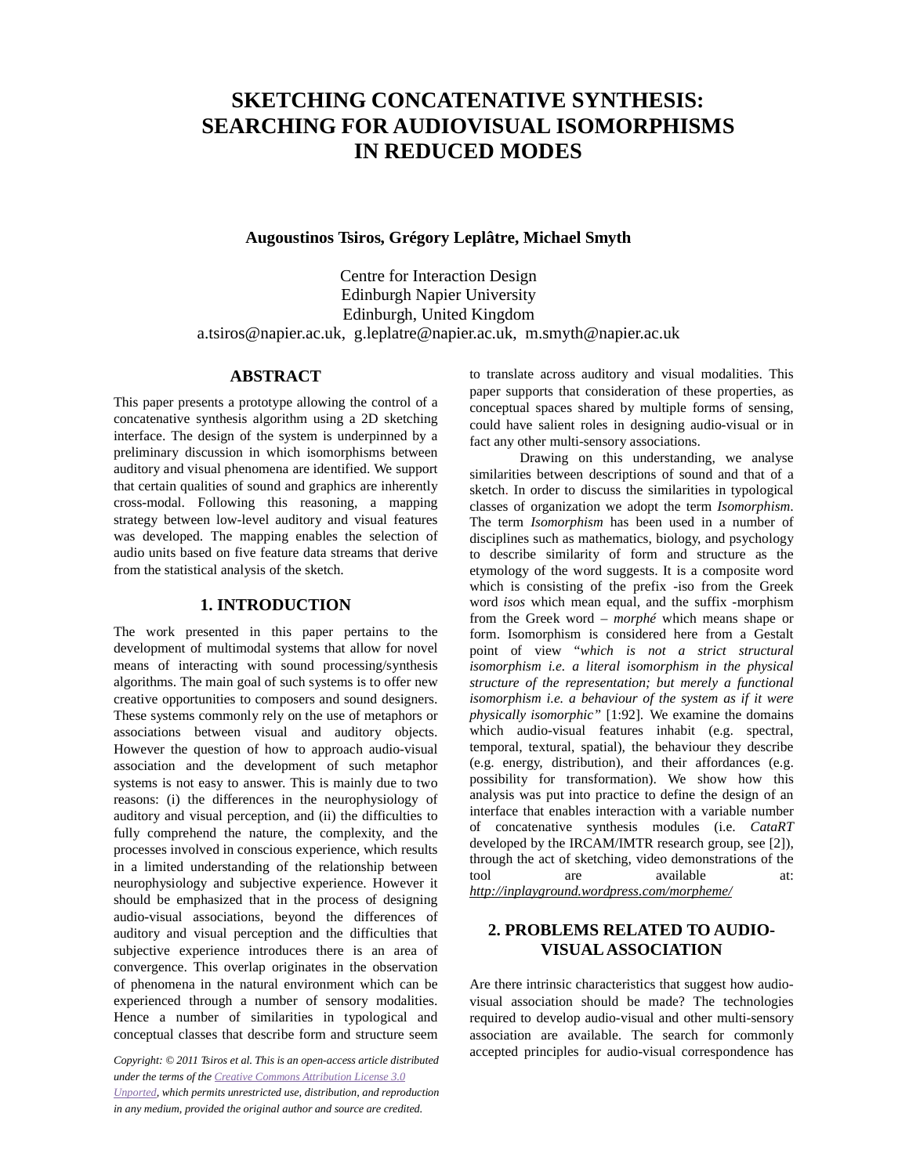# **SKETCHING CONCATENATIVE SYNTHESIS: SEARCHING FOR AUDIOVISUAL ISOMORPHISMS IN REDUCED MODES**

**Augoustinos Tsiros, Grégory Leplâtre, Michael Smyth**

Centre for Interaction Design Edinburgh Napier University Edinburgh, United Kingdom a.tsiros@napier.ac.uk, g.leplatre@napier.ac.uk, m.smyth@napier.ac.uk

### **ABSTRACT**

This paper presents a prototype allowing the control of a concatenative synthesis algorithm using a 2D sketching interface. The design of the system is underpinned by a preliminary discussion in which isomorphisms between auditory and visual phenomena are identified. We support that certain qualities of sound and graphics are inherently cross-modal. Following this reasoning, a mapping strategy between low-level auditory and visual features was developed. The mapping enables the selection of audio units based on five feature data streams that derive from the statistical analysis of the sketch.

### **1. INTRODUCTION**

The work presented in this paper pertains to the development of multimodal systems that allow for novel means of interacting with sound processing/synthesis algorithms. The main goal of such systems is to offer new creative opportunities to composers and sound designers. These systems commonly rely on the use of metaphors or associations between visual and auditory objects. However the question of how to approach audio-visual association and the development of such metaphor systems is not easy to answer. This is mainly due to two reasons: (i) the differences in the neurophysiology of auditory and visual perception, and (ii) the difficulties to fully comprehend the nature, the complexity, and the processes involved in conscious experience, which results in a limited understanding of the relationship between neurophysiology and subjective experience. However it should be emphasized that in the process of designing audio-visual associations, beyond the differences of auditory and visual perception and the difficulties that subjective experience introduces there is an area of convergence. This overlap originates in the observation of phenomena in the natural environment which can be experienced through a number of sensory modalities. Hence a number of similarities in typological and conceptual classes that describe form and structure seem

*under the terms of the Creative Commons Attribution License 3.0 Unported, which permits unrestricted use, distribution, and reproduction in any medium, provided the original author and source are credited.*

to translate across auditory and visual modalities. This paper supports that consideration of these properties, as conceptual spaces shared by multiple forms of sensing, could have salient roles in designing audio-visual or in fact any other multi-sensory associations.

Drawing on this understanding, we analyse similarities between descriptions of sound and that of a sketch. In order to discuss the similarities in typological classes of organization we adopt the term *Isomorphism*. The term *Isomorphism* has been used in a number of disciplines such as mathematics, biology, and psychology to describe similarity of form and structure as the etymology of the word suggests. It is a composite word which is consisting of the prefix -iso from the Greek word *isos* which mean equal, and the suffix -morphism from the Greek word – *morphé* which means shape or form. Isomorphism is considered here from a Gestalt point of view "*which is not a strict structural isomorphism i.e. a literal isomorphism in the physical structure of the representation; but merely a functional isomorphism i.e. a behaviour of the system as if it were physically isomorphic"* [1:92]. We examine the domains which audio-visual features inhabit (e.g. spectral, temporal, textural, spatial), the behaviour they describe (e.g. energy, distribution), and their affordances (e.g. possibility for transformation). We show how this analysis was put into practice to define the design of an interface that enables interaction with a variable number of concatenative synthesis modules (i.e. *CataRT* developed by the IRCAM/IMTR research group, see [2]), through the act of sketching, video demonstrations of the tool are available at: *http://inplayground.wordpress.com/morpheme/*

## **2. PROBLEMS RELATED TO AUDIO-VISUAL ASSOCIATION**

Are there intrinsic characteristics that suggest how audiovisual association should be made? The technologies required to develop audio-visual and other multi-sensory association are available. The search for commonly accepted principles for audio-visual correspondence has *Copyright: © 2011 Tsiros et al. This is an open-access article distributed*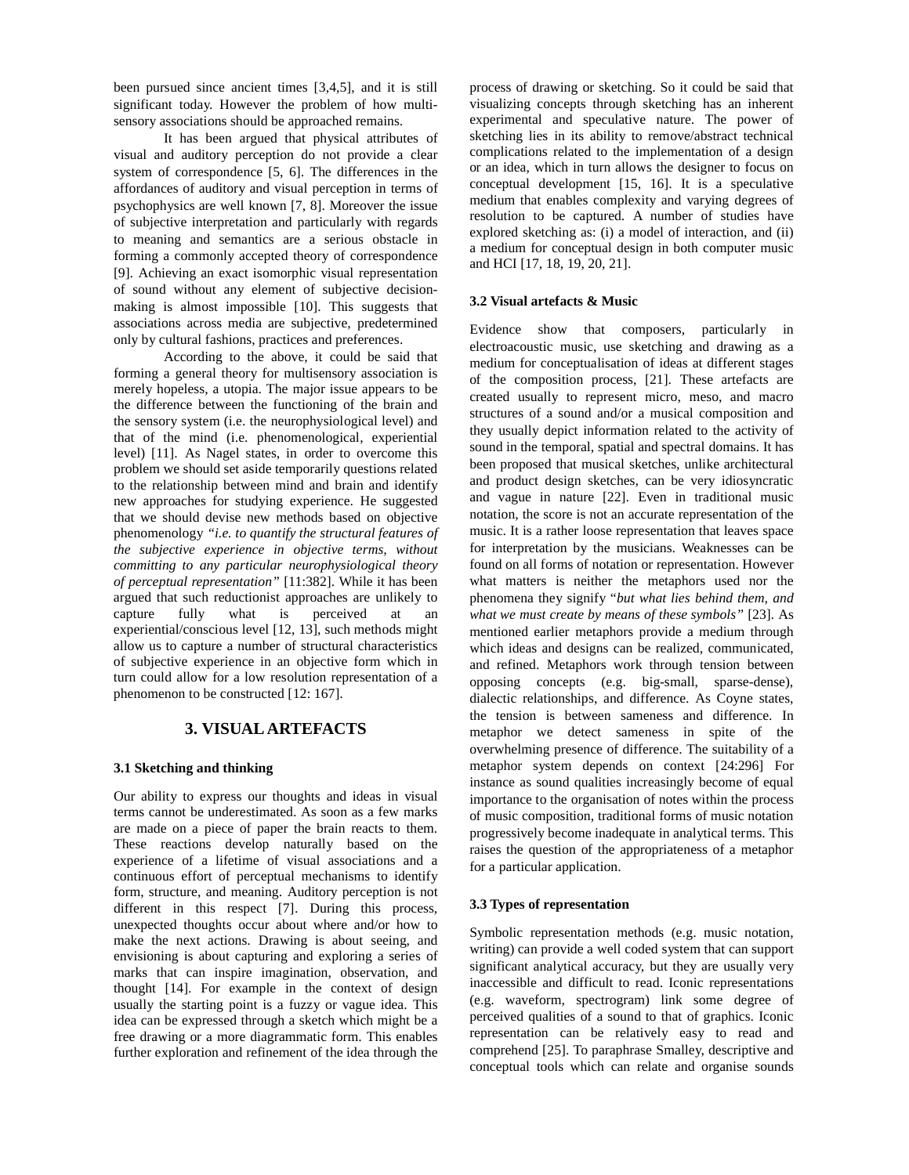been pursued since ancient times [3,4,5], and it is still significant today. However the problem of how multisensory associations should be approached remains.

It has been argued that physical attributes of visual and auditory perception do not provide a clear system of correspondence [5, 6]. The differences in the affordances of auditory and visual perception in terms of psychophysics are well known [7, 8]. Moreover the issue of subjective interpretation and particularly with regards to meaning and semantics are a serious obstacle in forming a commonly accepted theory of correspondence [9]. Achieving an exact isomorphic visual representation of sound without any element of subjective decisionmaking is almost impossible [10]. This suggests that associations across media are subjective, predetermined only by cultural fashions, practices and preferences.

According to the above, it could be said that forming a general theory for multisensory association is merely hopeless, a utopia. The major issue appears to be the difference between the functioning of the brain and the sensory system (i.e. the neurophysiological level) and that of the mind (i.e. phenomenological, experiential level) [11]. As Nagel states, in order to overcome this problem we should set aside temporarily questions related to the relationship between mind and brain and identify new approaches for studying experience. He suggested that we should devise new methods based on objective phenomenology *"i.e. to quantify the structural features of the subjective experience in objective terms, without committing to any particular neurophysiological theory of perceptual representation"* [11:382]. While it has been argued that such reductionist approaches are unlikely to capture fully what is perceived at an experiential/conscious level [12, 13], such methods might allow us to capture a number of structural characteristics of subjective experience in an objective form which in turn could allow for a low resolution representation of a phenomenon to be constructed [12: 167].

### **3. VISUAL ARTEFACTS**

#### **3.1 Sketching and thinking**

Our ability to express our thoughts and ideas in visual terms cannot be underestimated. As soon as a few marks are made on a piece of paper the brain reacts to them. These reactions develop naturally based on the experience of a lifetime of visual associations and a continuous effort of perceptual mechanisms to identify form, structure, and meaning. Auditory perception is not different in this respect [7]. During this process, unexpected thoughts occur about where and/or how to make the next actions. Drawing is about seeing, and envisioning is about capturing and exploring a series of marks that can inspire imagination, observation, and thought [14]. For example in the context of design usually the starting point is a fuzzy or vague idea. This idea can be expressed through a sketch which might be a free drawing or a more diagrammatic form. This enables further exploration and refinement of the idea through the

process of drawing or sketching. So it could be said that visualizing concepts through sketching has an inherent experimental and speculative nature. The power of sketching lies in its ability to remove/abstract technical complications related to the implementation of a design or an idea, which in turn allows the designer to focus on conceptual development [15, 16]. It is a speculative medium that enables complexity and varying degrees of resolution to be captured. A number of studies have explored sketching as: (i) a model of interaction, and (ii) a medium for conceptual design in both computer music and HCI [17, 18, 19, 20, 21].

#### **3.2 Visual artefacts & Music**

Evidence show that composers, particularly in electroacoustic music, use sketching and drawing as a medium for conceptualisation of ideas at different stages of the composition process, [21]. These artefacts are created usually to represent micro, meso, and macro structures of a sound and/or a musical composition and they usually depict information related to the activity of sound in the temporal, spatial and spectral domains. It has been proposed that musical sketches, unlike architectural and product design sketches, can be very idiosyncratic and vague in nature [22]. Even in traditional music notation, the score is not an accurate representation of the music. It is a rather loose representation that leaves space for interpretation by the musicians. Weaknesses can be found on all forms of notation or representation. However what matters is neither the metaphors used nor the phenomena they signify "*but what lies behind them, and what we must create by means of these symbols"* [23]*.* As mentioned earlier metaphors provide a medium through which ideas and designs can be realized, communicated, and refined. Metaphors work through tension between opposing concepts (e.g. big-small, sparse-dense), dialectic relationships, and difference. As Coyne states, the tension is between sameness and difference. In metaphor we detect sameness in spite of the overwhelming presence of difference. The suitability of a metaphor system depends on context [24:296] For instance as sound qualities increasingly become of equal importance to the organisation of notes within the process of music composition, traditional forms of music notation progressively become inadequate in analytical terms. This raises the question of the appropriateness of a metaphor for a particular application.

#### **3.3 Types of representation**

Symbolic representation methods (e.g. music notation, writing) can provide a well coded system that can support significant analytical accuracy, but they are usually very inaccessible and difficult to read. Iconic representations (e.g. waveform, spectrogram) link some degree of perceived qualities of a sound to that of graphics. Iconic representation can be relatively easy to read and comprehend [25]. To paraphrase Smalley, descriptive and conceptual tools which can relate and organise sounds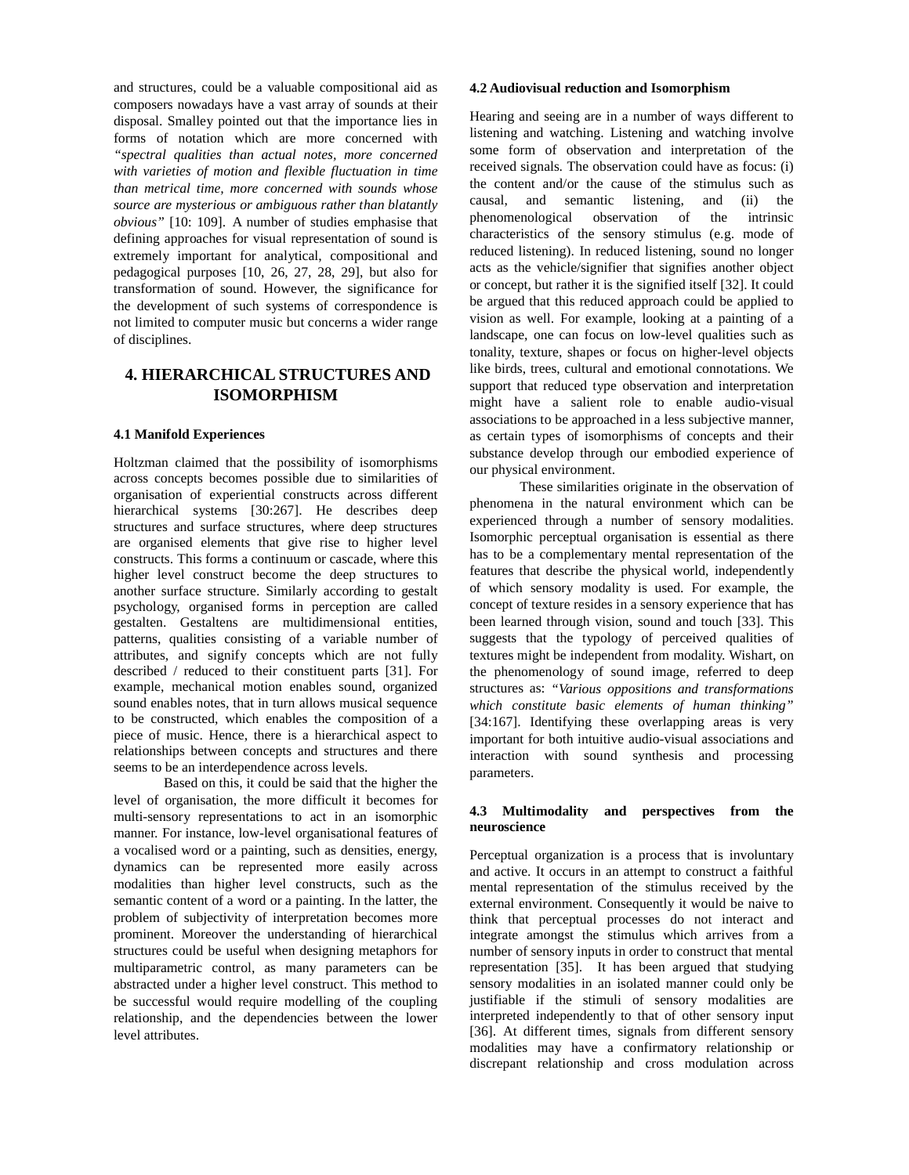and structures, could be a valuable compositional aid as composers nowadays have a vast array of sounds at their disposal. Smalley pointed out that the importance lies in forms of notation which are more concerned with *"spectral qualities than actual notes, more concerned with varieties of motion and flexible fluctuation in time than metrical time, more concerned with sounds whose source are mysterious or ambiguous rather than blatantly obvious"* [10: 109]. A number of studies emphasise that defining approaches for visual representation of sound is extremely important for analytical, compositional and pedagogical purposes [10, 26, 27, 28, 29], but also for transformation of sound. However, the significance for the development of such systems of correspondence is not limited to computer music but concerns a wider range of disciplines.

# **4. HIERARCHICAL STRUCTURES AND ISOMORPHISM**

### **4.1 Manifold Experiences**

Holtzman claimed that the possibility of isomorphisms across concepts becomes possible due to similarities of organisation of experiential constructs across different hierarchical systems [30:267]. He describes deep structures and surface structures, where deep structures are organised elements that give rise to higher level constructs. This forms a continuum or cascade, where this higher level construct become the deep structures to another surface structure. Similarly according to gestalt psychology, organised forms in perception are called gestalten. Gestaltens are multidimensional entities, patterns, qualities consisting of a variable number of attributes, and signify concepts which are not fully described / reduced to their constituent parts [31]. For example, mechanical motion enables sound, organized sound enables notes, that in turn allows musical sequence to be constructed, which enables the composition of a piece of music. Hence, there is a hierarchical aspect to relationships between concepts and structures and there seems to be an interdependence across levels.

Based on this, it could be said that the higher the level of organisation, the more difficult it becomes for multi-sensory representations to act in an isomorphic manner. For instance, low-level organisational features of a vocalised word or a painting, such as densities, energy, dynamics can be represented more easily across modalities than higher level constructs, such as the semantic content of a word or a painting. In the latter, the problem of subjectivity of interpretation becomes more prominent. Moreover the understanding of hierarchical structures could be useful when designing metaphors for multiparametric control, as many parameters can be abstracted under a higher level construct. This method to be successful would require modelling of the coupling relationship, and the dependencies between the lower level attributes.

#### **4.2 Audiovisual reduction and Isomorphism**

Hearing and seeing are in a number of ways different to listening and watching. Listening and watching involve some form of observation and interpretation of the received signals. The observation could have as focus: (i) the content and/or the cause of the stimulus such as causal, and semantic listening, and (ii) the phenomenological observation of the intrinsic characteristics of the sensory stimulus (e.g. mode of reduced listening). In reduced listening, sound no longer acts as the vehicle/signifier that signifies another object or concept, but rather it is the signified itself [32]. It could be argued that this reduced approach could be applied to vision as well. For example, looking at a painting of a landscape, one can focus on low-level qualities such as tonality, texture, shapes or focus on higher-level objects like birds, trees, cultural and emotional connotations. We support that reduced type observation and interpretation might have a salient role to enable audio-visual associations to be approached in a less subjective manner, as certain types of isomorphisms of concepts and their substance develop through our embodied experience of our physical environment.

These similarities originate in the observation of phenomena in the natural environment which can be experienced through a number of sensory modalities. Isomorphic perceptual organisation is essential as there has to be a complementary mental representation of the features that describe the physical world, independently of which sensory modality is used. For example, the concept of texture resides in a sensory experience that has been learned through vision, sound and touch [33]. This suggests that the typology of perceived qualities of textures might be independent from modality. Wishart, on the phenomenology of sound image, referred to deep structures as: *"Various oppositions and transformations which constitute basic elements of human thinking"*  [34:167]. Identifying these overlapping areas is very important for both intuitive audio-visual associations and interaction with sound synthesis and processing parameters.

### **4.3 Multimodality and perspectives from the neuroscience**

Perceptual organization is a process that is involuntary and active. It occurs in an attempt to construct a faithful mental representation of the stimulus received by the external environment. Consequently it would be naive to think that perceptual processes do not interact and integrate amongst the stimulus which arrives from a number of sensory inputs in order to construct that mental representation [35]. It has been argued that studying sensory modalities in an isolated manner could only be justifiable if the stimuli of sensory modalities are interpreted independently to that of other sensory input [36]. At different times, signals from different sensory modalities may have a confirmatory relationship or discrepant relationship and cross modulation across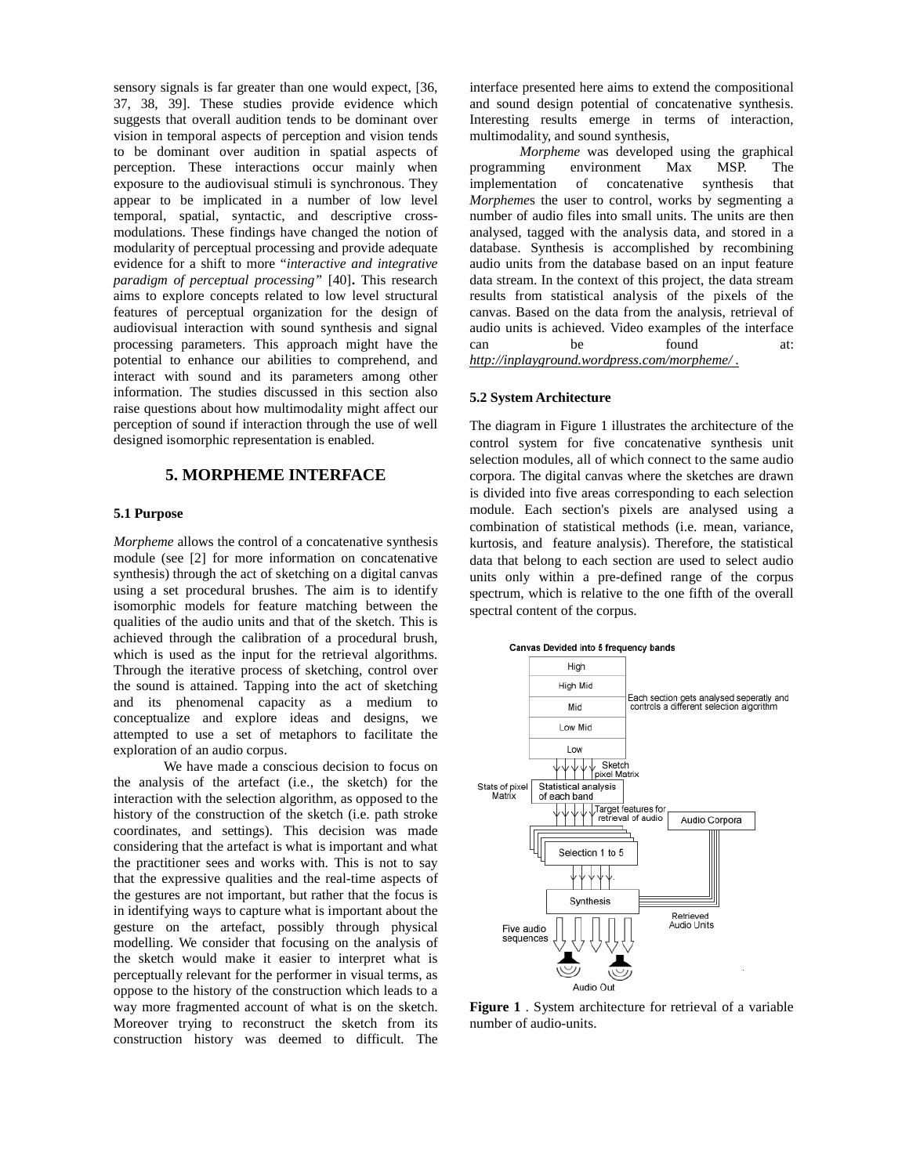sensory signals is far greater than one would expect, [36, 37, 38, 39]. These studies provide evidence which suggests that overall audition tends to be dominant over vision in temporal aspects of perception and vision tends to be dominant over audition in spatial aspects of perception. These interactions occur mainly when exposure to the audiovisual stimuli is synchronous. They appear to be implicated in a number of low level temporal, spatial, syntactic, and descriptive crossmodulations. These findings have changed the notion of modularity of perceptual processing and provide adequate evidence for a shift to more "*interactive and integrative paradigm of perceptual processing"* [40]**.** This research aims to explore concepts related to low level structural features of perceptual organization for the design of audiovisual interaction with sound synthesis and signal processing parameters. This approach might have the potential to enhance our abilities to comprehend, and interact with sound and its parameters among other information. The studies discussed in this section also raise questions about how multimodality might affect our perception of sound if interaction through the use of well designed isomorphic representation is enabled.

### **5. MORPHEME INTERFACE**

#### **5.1 Purpose**

*Morpheme* allows the control of a concatenative synthesis module (see [2] for more information on concatenative synthesis) through the act of sketching on a digital canvas using a set procedural brushes. The aim is to identify isomorphic models for feature matching between the qualities of the audio units and that of the sketch. This is achieved through the calibration of a procedural brush, which is used as the input for the retrieval algorithms. Through the iterative process of sketching, control over the sound is attained. Tapping into the act of sketching and its phenomenal capacity as a medium to conceptualize and explore ideas and designs, we attempted to use a set of metaphors to facilitate the exploration of an audio corpus.

We have made a conscious decision to focus on the analysis of the artefact (i.e., the sketch) for the interaction with the selection algorithm, as opposed to the history of the construction of the sketch (i.e. path stroke coordinates, and settings). This decision was made considering that the artefact is what is important and what the practitioner sees and works with. This is not to say that the expressive qualities and the real-time aspects of the gestures are not important, but rather that the focus is in identifying ways to capture what is important about the gesture on the artefact, possibly through physical modelling. We consider that focusing on the analysis of the sketch would make it easier to interpret what is perceptually relevant for the performer in visual terms, as oppose to the history of the construction which leads to a way more fragmented account of what is on the sketch. Moreover trying to reconstruct the sketch from its construction history was deemed to difficult. The interface presented here aims to extend the compositional and sound design potential of concatenative synthesis. Interesting results emerge in terms of interaction, multimodality, and sound synthesis,

*Morpheme* was developed using the graphical programming environment Max MSP. The implementation of concatenative synthesis that *Morphemes* the user to control, works by segmenting a number of audio files into small units. The units are then analysed, tagged with the analysis data, and stored in a database. Synthesis is accomplished by recombining audio units from the database based on an input feature data stream. In the context of this project, the data stream results from statistical analysis of the pixels of the canvas. Based on the data from the analysis, retrieval of audio units is achieved. Video examples of the interface can be found at:

*http://inplayground.wordpress.com/morpheme/ .*

#### **5.2 System Architecture**

The diagram in Figure 1 illustrates the architecture of the control system for five concatenative synthesis unit selection modules, all of which connect to the same audio corpora. The digital canvas where the sketches are drawn is divided into five areas corresponding to each selection module. Each section's pixels are analysed using a combination of statistical methods (i.e. mean, variance, kurtosis, and feature analysis). Therefore, the statistical data that belong to each section are used to select audio units only within a pre-defined range of the corpus spectrum, which is relative to the one fifth of the overall spectral content of the corpus.





**Figure 1** . System architecture for retrieval of a variable number of audio-units.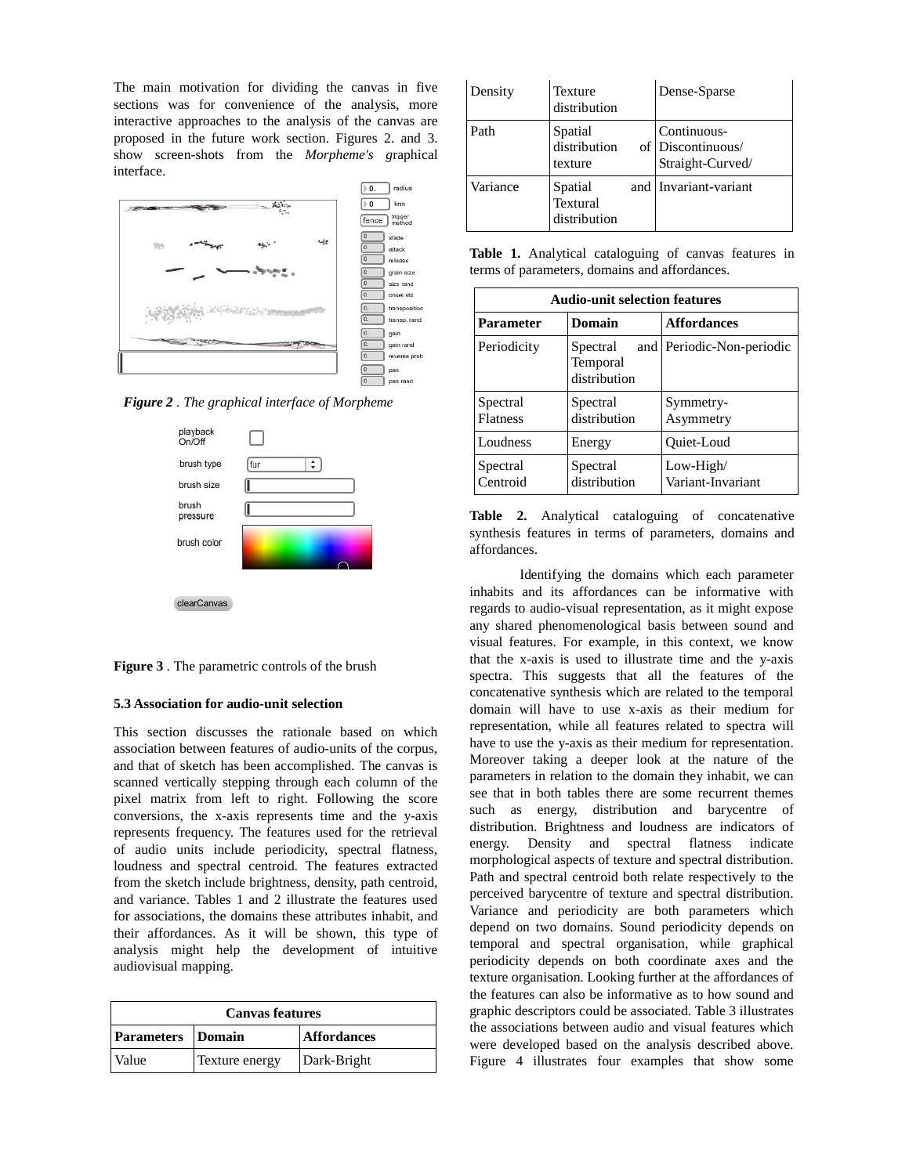The main motivation for dividing the canvas in five sections was for convenience of the analysis, more interactive approaches to the analysis of the canvas are proposed in the future work section. Figures 2. and 3. show screen-shots from the *Morpheme's g*raphical interface.



*Figure 2 . The graphical interface of Morpheme*



**Figure 3** . The parametric controls of the brush

### **5.3 Association for audio-unit selection**

This section discusses the rationale based on which association between features of audio-units of the corpus, and that of sketch has been accomplished. The canvas is scanned vertically stepping through each column of the pixel matrix from left to right. Following the score conversions, the x-axis represents time and the y-axis represents frequency. The features used for the retrieval of audio units include periodicity, spectral flatness, loudness and spectral centroid. The features extracted from the sketch include brightness, density, path centroid, and variance. Tables 1 and 2 illustrate the features used for associations, the domains these attributes inhabit, and their affordances. As it will be shown, this type of analysis might help the development of intuitive audiovisual mapping.

| <b>Canvas features</b> |                |                    |
|------------------------|----------------|--------------------|
| Parameters Domain      |                | <b>Affordances</b> |
| Value                  | Texture energy | Dark-Bright        |

| Density  | Texture<br>distribution                    | Dense-Sparse                                         |
|----------|--------------------------------------------|------------------------------------------------------|
| Path     | Spatial<br>distribution<br>texture         | Continuous-<br>of Discontinuous/<br>Straight-Curved/ |
| Variance | Spatial<br><b>Textural</b><br>distribution | and Invariant-variant                                |

**Table 1.** Analytical cataloguing of canvas features in terms of parameters, domains and affordances.

| <b>Audio-unit selection features</b> |                                      |                                  |  |
|--------------------------------------|--------------------------------------|----------------------------------|--|
| <b>Parameter</b>                     | Domain                               | <b>Affordances</b>               |  |
| Periodicity                          | Spectral<br>Temporal<br>distribution | and Periodic-Non-periodic        |  |
| Spectral<br><b>Flatness</b>          | Spectral<br>distribution             | Symmetry-<br>Asymmetry           |  |
| Loudness                             | Energy                               | Quiet-Loud                       |  |
| Spectral<br>Centroid                 | Spectral<br>distribution             | $Low-High/$<br>Variant-Invariant |  |

**Table 2.** Analytical cataloguing of concatenative synthesis features in terms of parameters, domains and affordances.

Identifying the domains which each parameter inhabits and its affordances can be informative with regards to audio-visual representation, as it might expose any shared phenomenological basis between sound and visual features. For example, in this context, we know that the x-axis is used to illustrate time and the y-axis spectra. This suggests that all the features of the concatenative synthesis which are related to the temporal domain will have to use x-axis as their medium for representation, while all features related to spectra will have to use the y-axis as their medium for representation. Moreover taking a deeper look at the nature of the parameters in relation to the domain they inhabit, we can see that in both tables there are some recurrent themes such as energy, distribution and barycentre of distribution. Brightness and loudness are indicators of energy. Density and spectral flatness indicate morphological aspects of texture and spectral distribution. Path and spectral centroid both relate respectively to the perceived barycentre of texture and spectral distribution. Variance and periodicity are both parameters which depend on two domains. Sound periodicity depends on temporal and spectral organisation, while graphical periodicity depends on both coordinate axes and the texture organisation. Looking further at the affordances of the features can also be informative as to how sound and graphic descriptors could be associated. Table 3 illustrates the associations between audio and visual features which were developed based on the analysis described above. Figure 4 illustrates four examples that show some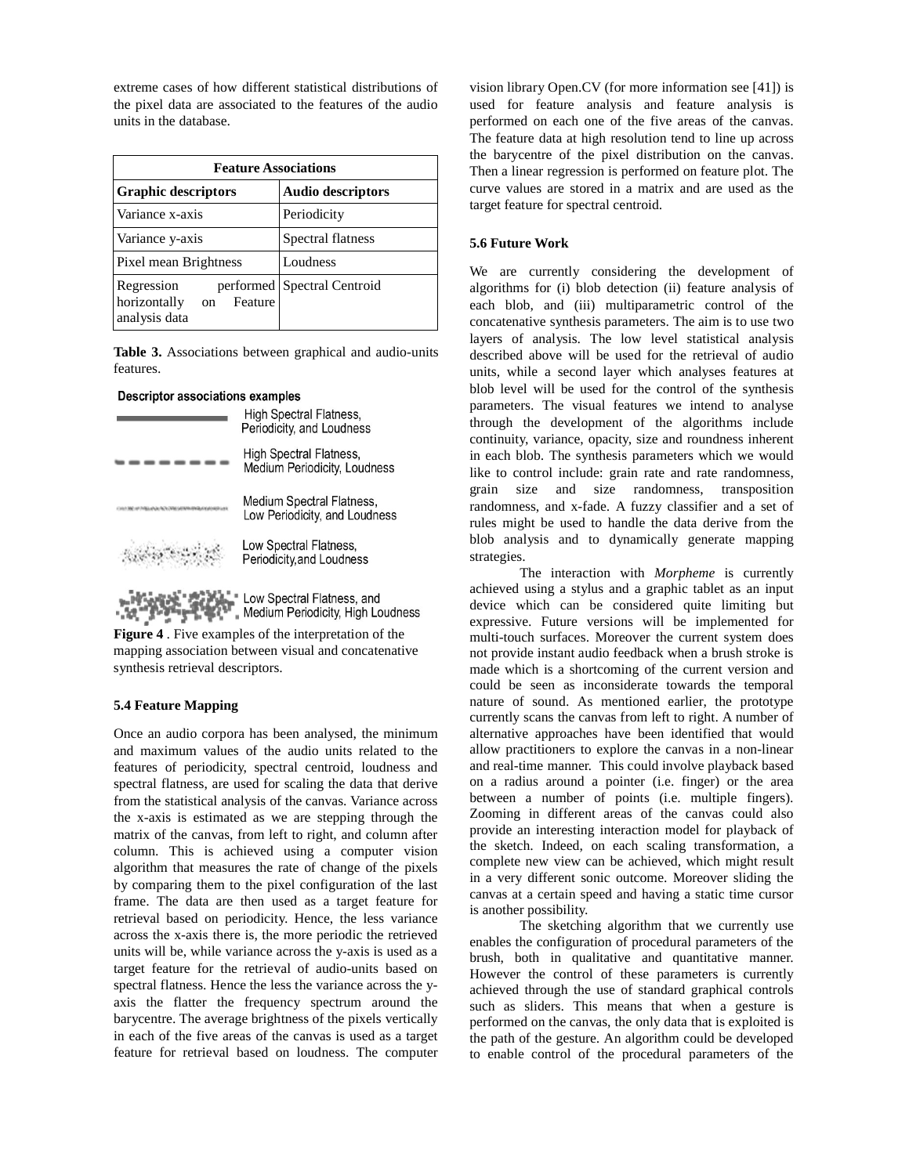extreme cases of how different statistical distributions of the pixel data are associated to the features of the audio units in the database.

| <b>Feature Associations</b>                                  |                             |  |  |
|--------------------------------------------------------------|-----------------------------|--|--|
| <b>Graphic descriptors</b>                                   | <b>Audio descriptors</b>    |  |  |
| Variance x-axis                                              | Periodicity                 |  |  |
| Variance y-axis                                              | Spectral flatness           |  |  |
| Pixel mean Brightness                                        | Loudness                    |  |  |
| Regression<br>horizontally<br>Feature<br>on<br>analysis data | performed Spectral Centroid |  |  |

**Table 3.** Associations between graphical and audio-units features.

#### **Descriptor associations examples**

| High Spectral Flatness,<br>Periodicity, and Loudness       |
|------------------------------------------------------------|
| High Spectral Flatness,<br>Medium Periodicity, Loudness    |
| Medium Spectral Flatness,<br>Low Periodicity, and Loudness |
| Low Spectral Flatness,<br>Periodicity, and Loudness        |
|                                                            |

Low Spectral Flatness, and<br>**2. The Medium Periodicity, High Loudness Figure 4** . Five examples of the interpretation of the

mapping association between visual and concatenative synthesis retrieval descriptors.

### **5.4 Feature Mapping**

Once an audio corpora has been analysed, the minimum and maximum values of the audio units related to the features of periodicity, spectral centroid, loudness and spectral flatness, are used for scaling the data that derive from the statistical analysis of the canvas. Variance across the x-axis is estimated as we are stepping through the matrix of the canvas, from left to right, and column after column. This is achieved using a computer vision algorithm that measures the rate of change of the pixels by comparing them to the pixel configuration of the last frame. The data are then used as a target feature for retrieval based on periodicity. Hence, the less variance across the x-axis there is, the more periodic the retrieved units will be, while variance across the y-axis is used as a target feature for the retrieval of audio-units based on spectral flatness. Hence the less the variance across the yaxis the flatter the frequency spectrum around the barycentre. The average brightness of the pixels vertically in each of the five areas of the canvas is used as a target feature for retrieval based on loudness. The computer

vision library Open.CV (for more information see [41]) is used for feature analysis and feature analysis is performed on each one of the five areas of the canvas. The feature data at high resolution tend to line up across the barycentre of the pixel distribution on the canvas. Then a linear regression is performed on feature plot. The curve values are stored in a matrix and are used as the target feature for spectral centroid.

### **5.6 Future Work**

We are currently considering the development of algorithms for (i) blob detection (ii) feature analysis of each blob, and (iii) multiparametric control of the concatenative synthesis parameters. The aim is to use two layers of analysis. The low level statistical analysis described above will be used for the retrieval of audio units, while a second layer which analyses features at blob level will be used for the control of the synthesis parameters. The visual features we intend to analyse through the development of the algorithms include continuity, variance, opacity, size and roundness inherent in each blob. The synthesis parameters which we would like to control include: grain rate and rate randomness, grain size and size randomness, transposition randomness, and x-fade. A fuzzy classifier and a set of rules might be used to handle the data derive from the blob analysis and to dynamically generate mapping strategies.

The interaction with *Morpheme* is currently achieved using a stylus and a graphic tablet as an input device which can be considered quite limiting but expressive. Future versions will be implemented for multi-touch surfaces. Moreover the current system does not provide instant audio feedback when a brush stroke is made which is a shortcoming of the current version and could be seen as inconsiderate towards the temporal nature of sound. As mentioned earlier, the prototype currently scans the canvas from left to right. A number of alternative approaches have been identified that would allow practitioners to explore the canvas in a non-linear and real-time manner. This could involve playback based on a radius around a pointer (i.e. finger) or the area between a number of points (i.e. multiple fingers). Zooming in different areas of the canvas could also provide an interesting interaction model for playback of the sketch. Indeed, on each scaling transformation, a complete new view can be achieved, which might result in a very different sonic outcome. Moreover sliding the canvas at a certain speed and having a static time cursor is another possibility.

The sketching algorithm that we currently use enables the configuration of procedural parameters of the brush, both in qualitative and quantitative manner. However the control of these parameters is currently achieved through the use of standard graphical controls such as sliders. This means that when a gesture is performed on the canvas, the only data that is exploited is the path of the gesture. An algorithm could be developed to enable control of the procedural parameters of the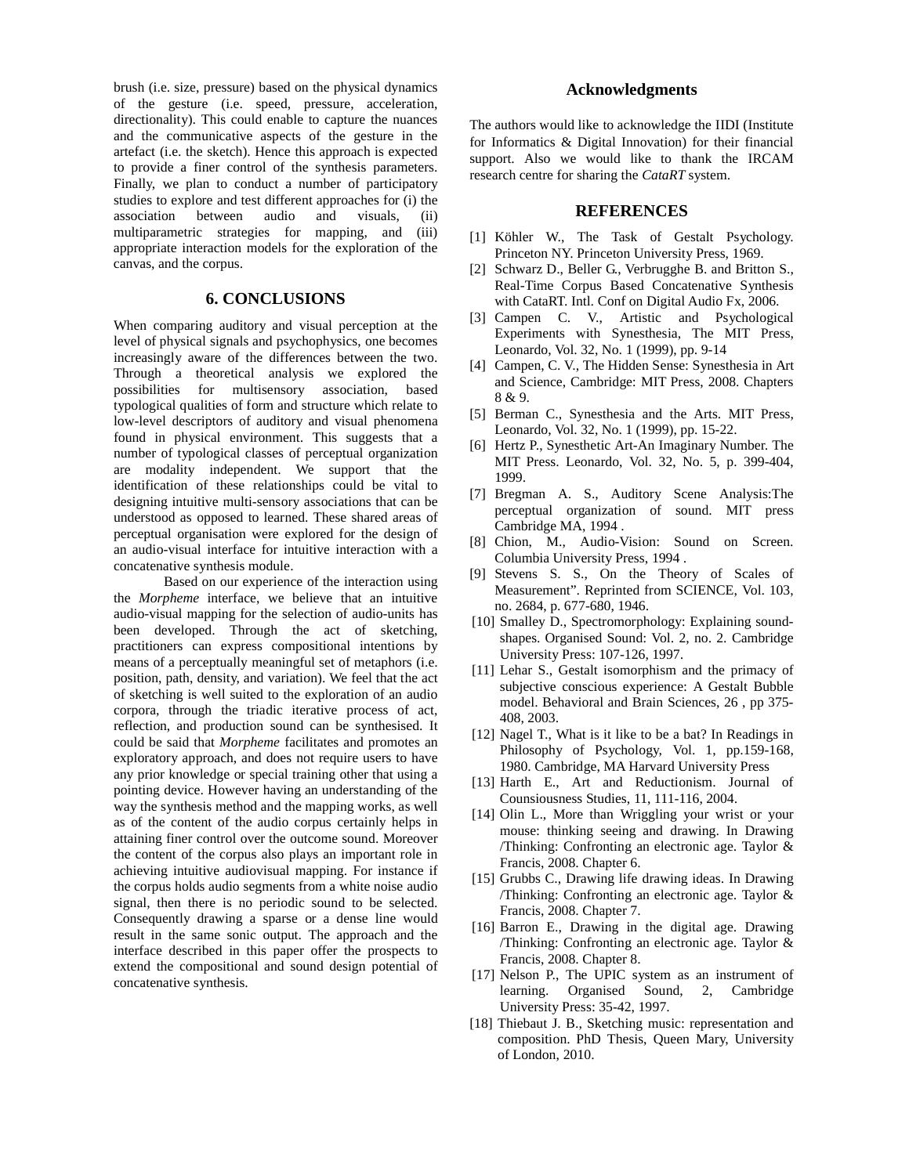brush (i.e. size, pressure) based on the physical dynamics of the gesture (i.e. speed, pressure, acceleration, directionality). This could enable to capture the nuances and the communicative aspects of the gesture in the artefact (i.e. the sketch). Hence this approach is expected to provide a finer control of the synthesis parameters. Finally, we plan to conduct a number of participatory studies to explore and test different approaches for (i) the association between audio and visuals, (ii) multiparametric strategies for mapping, and (iii) appropriate interaction models for the exploration of the canvas, and the corpus.

### **6. CONCLUSIONS**

When comparing auditory and visual perception at the level of physical signals and psychophysics, one becomes increasingly aware of the differences between the two. Through a theoretical analysis we explored the possibilities for multisensory association, based typological qualities of form and structure which relate to low-level descriptors of auditory and visual phenomena found in physical environment. This suggests that a number of typological classes of perceptual organization are modality independent. We support that the identification of these relationships could be vital to designing intuitive multi-sensory associations that can be understood as opposed to learned. These shared areas of perceptual organisation were explored for the design of an audio-visual interface for intuitive interaction with a concatenative synthesis module.

Based on our experience of the interaction using the *Morpheme* interface, we believe that an intuitive audio-visual mapping for the selection of audio-units has been developed. Through the act of sketching, practitioners can express compositional intentions by means of a perceptually meaningful set of metaphors (i.e. position, path, density, and variation). We feel that the act of sketching is well suited to the exploration of an audio corpora, through the triadic iterative process of act, reflection, and production sound can be synthesised. It could be said that *Morpheme* facilitates and promotes an exploratory approach, and does not require users to have any prior knowledge or special training other that using a pointing device. However having an understanding of the way the synthesis method and the mapping works, as well as of the content of the audio corpus certainly helps in attaining finer control over the outcome sound. Moreover the content of the corpus also plays an important role in achieving intuitive audiovisual mapping. For instance if the corpus holds audio segments from a white noise audio signal, then there is no periodic sound to be selected. Consequently drawing a sparse or a dense line would result in the same sonic output. The approach and the interface described in this paper offer the prospects to extend the compositional and sound design potential of concatenative synthesis.

### **Acknowledgments**

The authors would like to acknowledge the IIDI (Institute for Informatics & Digital Innovation) for their financial support. Also we would like to thank the IRCAM research centre for sharing the *CataRT* system.

### **REFERENCES**

- [1] Köhler W., The Task of Gestalt Psychology. Princeton NY. Princeton University Press, 1969.
- [2] Schwarz D., Beller G., Verbrugghe B. and Britton S., Real-Time Corpus Based Concatenative Synthesis with CataRT. Intl. Conf on Digital Audio Fx, 2006.
- [3] Campen C. V., Artistic and Psychological Experiments with Synesthesia, The MIT Press, Leonardo, Vol. 32, No. 1 (1999), pp. 9-14
- [4] Campen, C. V., The Hidden Sense: Synesthesia in Art and Science, Cambridge: MIT Press, 2008. Chapters 8 & 9.
- [5] Berman C., Synesthesia and the Arts. MIT Press, Leonardo, Vol. 32, No. 1 (1999), pp. 15-22.
- [6] Hertz P., Synesthetic Art-An Imaginary Number. The MIT Press. Leonardo, Vol. 32, No. 5, p. 399-404, 1999.
- [7] Bregman A. S., Auditory Scene Analysis:The perceptual organization of sound. MIT press Cambridge MA, 1994 .
- [8] Chion, M., Audio-Vision: Sound on Screen. Columbia University Press, 1994 .
- [9] Stevens S. S., On the Theory of Scales of Measurement". Reprinted from SCIENCE, Vol. 103, no. 2684, p. 677-680, 1946.
- [10] Smalley D., Spectromorphology: Explaining soundshapes. Organised Sound: Vol. 2, no. 2. Cambridge University Press: 107-126, 1997.
- [11] Lehar S., Gestalt isomorphism and the primacy of subjective conscious experience: A Gestalt Bubble model. Behavioral and Brain Sciences, 26 , pp 375- 408, 2003.
- [12] Nagel T., What is it like to be a bat? In Readings in Philosophy of Psychology, Vol. 1, pp.159-168, 1980. Cambridge, MA Harvard University Press
- [13] Harth E., Art and Reductionism. Journal of Counsiousness Studies, 11, 111-116, 2004.
- [14] Olin L., More than Wriggling your wrist or your mouse: thinking seeing and drawing. In Drawing /Thinking: Confronting an electronic age. Taylor & Francis, 2008. Chapter 6.
- [15] Grubbs C., Drawing life drawing ideas. In Drawing /Thinking: Confronting an electronic age. Taylor & Francis, 2008. Chapter 7.
- [16] Barron E., Drawing in the digital age. Drawing /Thinking: Confronting an electronic age. Taylor & Francis, 2008. Chapter 8.
- [17] Nelson P., The UPIC system as an instrument of learning. Organised Sound, 2, Cambridge University Press: 35-42, 1997.
- [18] Thiebaut J. B., Sketching music: representation and composition. PhD Thesis, Queen Mary, University of London, 2010.